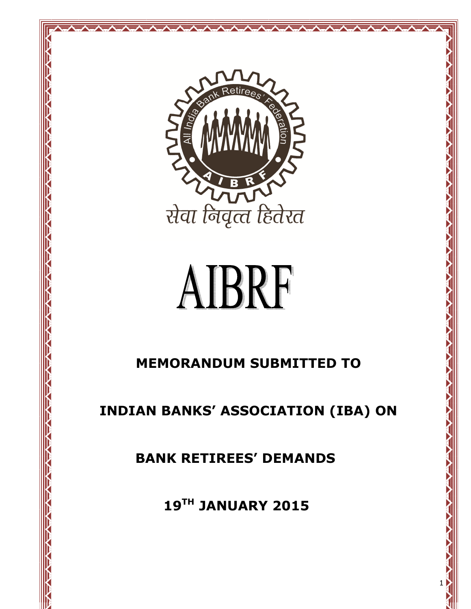

Andrew Andrew Andrew Andrew Andrew Andrew

# AIBRF

# MEMORANDUM SUBMITTED TO

INDIAN BANKS' ASSOCIATION (IBA) ON

BANK RETIREES' DEMANDS

19TH JANUARY 2015

1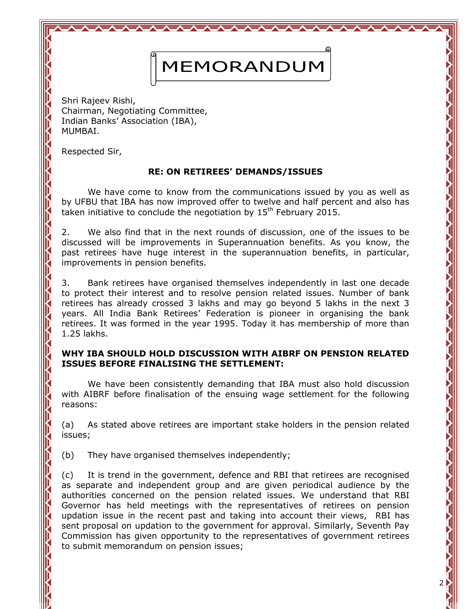# MEMORANDUM

Shri Rajeev Rishi, Chairman, Negotiating Committee, Indian Banks' Association (IBA), MUMBAI.

Respected Sir,

# RE: ON RETIREES' DEMANDS/ISSUES

 We have come to know from the communications issued by you as well as by UFBU that IBA has now improved offer to twelve and half percent and also has taken initiative to conclude the negotiation by  $15<sup>th</sup>$  February 2015.

2. We also find that in the next rounds of discussion, one of the issues to be discussed will be improvements in Superannuation benefits. As you know, the past retirees have huge interest in the superannuation benefits, in particular, improvements in pension benefits.

3. Bank retirees have organised themselves independently in last one decade to protect their interest and to resolve pension related issues. Number of bank retirees has already crossed 3 lakhs and may go beyond 5 lakhs in the next 3 years. All India Bank Retirees' Federation is pioneer in organising the bank retirees. It was formed in the year 1995. Today it has membership of more than 1.25 lakhs.

## WHY IBA SHOULD HOLD DISCUSSION WITH AIBRF ON PENSION RELATED ISSUES BEFORE FINALISING THE SETTLEMENT:

 We have been consistently demanding that IBA must also hold discussion with AIBRF before finalisation of the ensuing wage settlement for the following reasons:

(a) As stated above retirees are important stake holders in the pension related issues;

(b) They have organised themselves independently;

(c) It is trend in the government, defence and RBI that retirees are recognised as separate and independent group and are given periodical audience by the authorities concerned on the pension related issues. We understand that RBI Governor has held meetings with the representatives of retirees on pension updation issue in the recent past and taking into account their views, RBI has sent proposal on updation to the government for approval. Similarly, Seventh Pay Commission has given opportunity to the representatives of government retirees to submit memorandum on pension issues;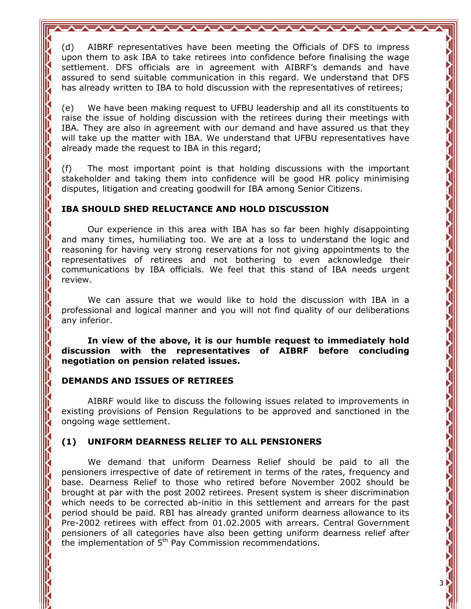(d) AIBRF representatives have been meeting the Officials of DFS to impress upon them to ask IBA to take retirees into confidence before finalising the wage settlement. DFS officials are in agreement with AIBRF's demands and have assured to send suitable communication in this regard. We understand that DFS has already written to IBA to hold discussion with the representatives of retirees;

(e) We have been making request to UFBU leadership and all its constituents to raise the issue of holding discussion with the retirees during their meetings with IBA. They are also in agreement with our demand and have assured us that they will take up the matter with IBA. We understand that UFBU representatives have already made the request to IBA in this regard;

(f) The most important point is that holding discussions with the important stakeholder and taking them into confidence will be good HR policy minimising disputes, litigation and creating goodwill for IBA among Senior Citizens.

#### IBA SHOULD SHED RELUCTANCE AND HOLD DISCUSSION

 Our experience in this area with IBA has so far been highly disappointing and many times, humiliating too. We are at a loss to understand the logic and reasoning for having very strong reservations for not giving appointments to the representatives of retirees and not bothering to even acknowledge their communications by IBA officials. We feel that this stand of IBA needs urgent review.

 We can assure that we would like to hold the discussion with IBA in a professional and logical manner and you will not find quality of our deliberations any inferior.

In view of the above, it is our humble request to immediately hold discussion with the representatives of AIBRF before concluding negotiation on pension related issues.

#### DEMANDS AND ISSUES OF RETIREES

 AIBRF would like to discuss the following issues related to improvements in existing provisions of Pension Regulations to be approved and sanctioned in the ongoing wage settlement.

# (1) UNIFORM DEARNESS RELIEF TO ALL PENSIONERS

 We demand that uniform Dearness Relief should be paid to all the pensioners irrespective of date of retirement in terms of the rates, frequency and base. Dearness Relief to those who retired before November 2002 should be brought at par with the post 2002 retirees. Present system is sheer discrimination which needs to be corrected ab-initio in this settlement and arrears for the past period should be paid. RBI has already granted uniform dearness allowance to its Pre-2002 retirees with effect from 01.02.2005 with arrears. Central Government pensioners of all categories have also been getting uniform dearness relief after the implementation of  $5<sup>th</sup>$  Pay Commission recommendations.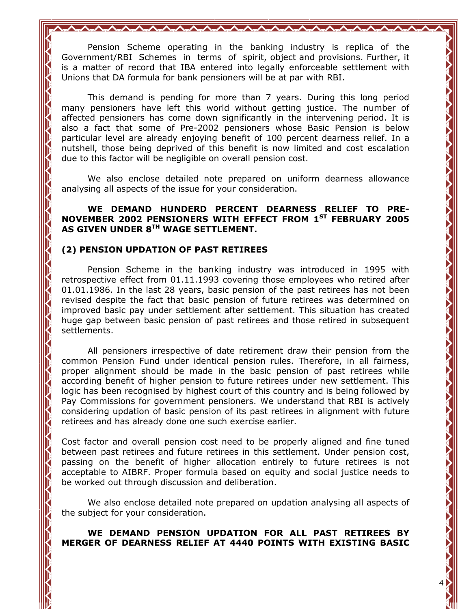Pension Scheme operating in the banking industry is replica of the Government/RBI Schemes in terms of spirit, object and provisions. Further, it is a matter of record that IBA entered into legally enforceable settlement with Unions that DA formula for bank pensioners will be at par with RBI.

**△<del>/</del>//////////////////////////**/

 This demand is pending for more than 7 years. During this long period many pensioners have left this world without getting justice. The number of affected pensioners has come down significantly in the intervening period. It is also a fact that some of Pre-2002 pensioners whose Basic Pension is below particular level are already enjoying benefit of 100 percent dearness relief. In a nutshell, those being deprived of this benefit is now limited and cost escalation due to this factor will be negligible on overall pension cost.

 We also enclose detailed note prepared on uniform dearness allowance analysing all aspects of the issue for your consideration.

#### WE DEMAND HUNDERD PERCENT DEARNESS RELIEF TO PRE-NOVEMBER 2002 PENSIONERS WITH EFFECT FROM 1ST FEBRUARY 2005 AS GIVEN UNDER 8TH WAGE SETTLEMENT.

## (2) PENSION UPDATION OF PAST RETIREES

 Pension Scheme in the banking industry was introduced in 1995 with retrospective effect from 01.11.1993 covering those employees who retired after 01.01.1986. In the last 28 years, basic pension of the past retirees has not been revised despite the fact that basic pension of future retirees was determined on improved basic pay under settlement after settlement. This situation has created huge gap between basic pension of past retirees and those retired in subsequent settlements.

 All pensioners irrespective of date retirement draw their pension from the common Pension Fund under identical pension rules. Therefore, in all fairness, proper alignment should be made in the basic pension of past retirees while according benefit of higher pension to future retirees under new settlement. This logic has been recognised by highest court of this country and is being followed by Pay Commissions for government pensioners. We understand that RBI is actively considering updation of basic pension of its past retirees in alignment with future retirees and has already done one such exercise earlier.

Cost factor and overall pension cost need to be properly aligned and fine tuned between past retirees and future retirees in this settlement. Under pension cost, passing on the benefit of higher allocation entirely to future retirees is not acceptable to AIBRF. Proper formula based on equity and social justice needs to be worked out through discussion and deliberation.

 We also enclose detailed note prepared on updation analysing all aspects of the subject for your consideration.

 WE DEMAND PENSION UPDATION FOR ALL PAST RETIREES BY MERGER OF DEARNESS RELIEF AT 4440 POINTS WITH EXISTING BASIC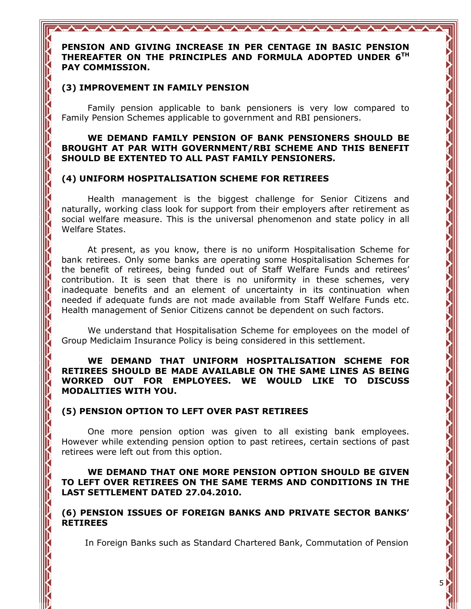PENSION AND GIVING INCREASE IN PER CENTAGE IN BASIC PENSION THEREAFTER ON THE PRINCIPLES AND FORMULA ADOPTED UNDER 6TH PAY COMMISSION.

#### (3) IMPROVEMENT IN FAMILY PENSION

 Family pension applicable to bank pensioners is very low compared to Family Pension Schemes applicable to government and RBI pensioners.

#### WE DEMAND FAMILY PENSION OF BANK PENSIONERS SHOULD BE BROUGHT AT PAR WITH GOVERNMENT/RBI SCHEME AND THIS BENEFIT SHOULD BE EXTENTED TO ALL PAST FAMILY PENSIONERS.

#### (4) UNIFORM HOSPITALISATION SCHEME FOR RETIREES

 Health management is the biggest challenge for Senior Citizens and naturally, working class look for support from their employers after retirement as social welfare measure. This is the universal phenomenon and state policy in all Welfare States.

 At present, as you know, there is no uniform Hospitalisation Scheme for bank retirees. Only some banks are operating some Hospitalisation Schemes for the benefit of retirees, being funded out of Staff Welfare Funds and retirees' contribution. It is seen that there is no uniformity in these schemes, very inadequate benefits and an element of uncertainty in its continuation when needed if adequate funds are not made available from Staff Welfare Funds etc. Health management of Senior Citizens cannot be dependent on such factors.

 We understand that Hospitalisation Scheme for employees on the model of Group Mediclaim Insurance Policy is being considered in this settlement.

WE DEMAND THAT UNIFORM HOSPITALISATION SCHEME FOR RETIREES SHOULD BE MADE AVAILABLE ON THE SAME LINES AS BEING WORKED OUT FOR EMPLOYEES. WE WOULD LIKE TO DISCUSS MODALITIES WITH YOU.

#### (5) PENSION OPTION TO LEFT OVER PAST RETIREES

 One more pension option was given to all existing bank employees. However while extending pension option to past retirees, certain sections of past retirees were left out from this option.

#### WE DEMAND THAT ONE MORE PENSION OPTION SHOULD BE GIVEN TO LEFT OVER RETIREES ON THE SAME TERMS AND CONDITIONS IN THE LAST SETTLEMENT DATED 27.04.2010.

(6) PENSION ISSUES OF FOREIGN BANKS AND PRIVATE SECTOR BANKS' RETIREES

In Foreign Banks such as Standard Chartered Bank, Commutation of Pension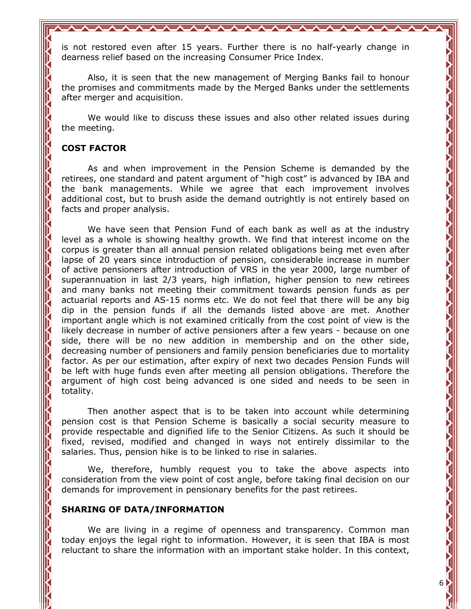is not restored even after 15 years. Further there is no half-yearly change in dearness relief based on the increasing Consumer Price Index.

AVAVAVAVAVAVAVAVAVAVAVAVAVAVA

 Also, it is seen that the new management of Merging Banks fail to honour the promises and commitments made by the Merged Banks under the settlements after merger and acquisition.

 We would like to discuss these issues and also other related issues during the meeting.

## COST FACTOR

As and when improvement in the Pension Scheme is demanded by the retirees, one standard and patent argument of "high cost" is advanced by IBA and the bank managements. While we agree that each improvement involves additional cost, but to brush aside the demand outrightly is not entirely based on facts and proper analysis.

 We have seen that Pension Fund of each bank as well as at the industry level as a whole is showing healthy growth. We find that interest income on the corpus is greater than all annual pension related obligations being met even after lapse of 20 years since introduction of pension, considerable increase in number of active pensioners after introduction of VRS in the year 2000, large number of superannuation in last 2/3 years, high inflation, higher pension to new retirees and many banks not meeting their commitment towards pension funds as per actuarial reports and AS-15 norms etc. We do not feel that there will be any big dip in the pension funds if all the demands listed above are met. Another important angle which is not examined critically from the cost point of view is the likely decrease in number of active pensioners after a few years - because on one side, there will be no new addition in membership and on the other side, decreasing number of pensioners and family pension beneficiaries due to mortality factor. As per our estimation, after expiry of next two decades Pension Funds will be left with huge funds even after meeting all pension obligations. Therefore the argument of high cost being advanced is one sided and needs to be seen in totality.

 Then another aspect that is to be taken into account while determining pension cost is that Pension Scheme is basically a social security measure to provide respectable and dignified life to the Senior Citizens. As such it should be fixed, revised, modified and changed in ways not entirely dissimilar to the salaries. Thus, pension hike is to be linked to rise in salaries.

 We, therefore, humbly request you to take the above aspects into consideration from the view point of cost angle, before taking final decision on our demands for improvement in pensionary benefits for the past retirees.

#### SHARING OF DATA/INFORMATION

 We are living in a regime of openness and transparency. Common man today enjoys the legal right to information. However, it is seen that IBA is most reluctant to share the information with an important stake holder. In this context,